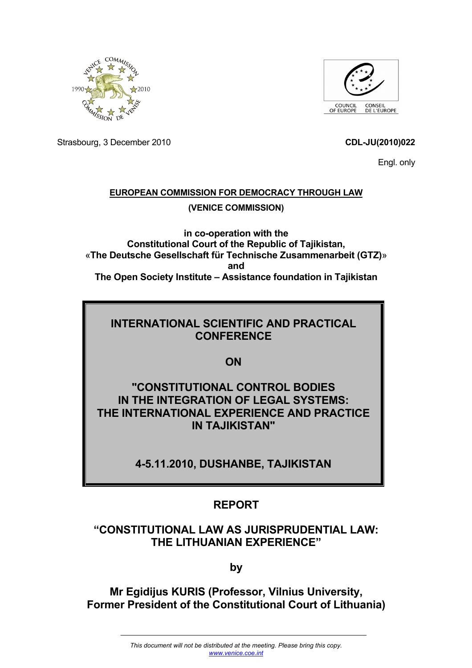



Strasbourg, 3 December 2010 **CDL-JU(2010)022**

Engl. only

## **EUROPEAN COMMISSION FOR DEMOCRACY THROUGH LAW (VENICE COMMISSION)**

**in co-operation with the Constitutional Court of the Republic of Tajikistan,**  «**The Deutsche Gesellschaft für Technische Zusammenarbeit (GTZ)**» **and The Open Society Institute – Assistance foundation in Tajikistan** 

## **INTERNATIONAL SCIENTIFIC AND PRACTICAL CONFERENCE**

**ON** 

**"CONSTITUTIONAL CONTROL BODIES IN THE INTEGRATION OF LEGAL SYSTEMS: THE INTERNATIONAL EXPERIENCE AND PRACTICE IN TAJIKISTAN"** 

**4-5.11.2010, DUSHANBE, TAJIKISTAN** 

## **REPORT**

## **"CONSTITUTIONAL LAW AS JURISPRUDENTIAL LAW: THE LITHUANIAN EXPERIENCE"**

**by** 

**Mr Egidijus KURIS (Professor, Vilnius University, Former President of the Constitutional Court of Lithuania)**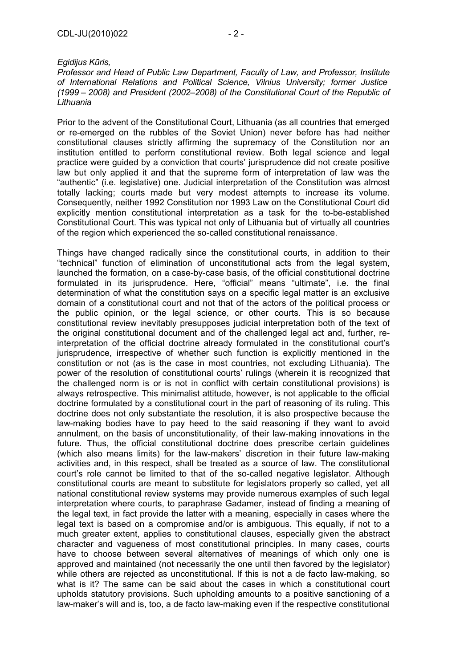*Egidijus Kūris,* 

*Professor and Head of Public Law Department, Faculty of Law, and Professor, Institute of International Relations and Political Science, Vilnius University; former Justice (1999 – 2008) and President (2002–2008) of the Constitutional Court of the Republic of Lithuania* 

Prior to the advent of the Constitutional Court, Lithuania (as all countries that emerged or re-emerged on the rubbles of the Soviet Union) never before has had neither constitutional clauses strictly affirming the supremacy of the Constitution nor an institution entitled to perform constitutional review. Both legal science and legal practice were guided by a conviction that courts' jurisprudence did not create positive law but only applied it and that the supreme form of interpretation of law was the "authentic" (i.e. legislative) one. Judicial interpretation of the Constitution was almost totally lacking; courts made but very modest attempts to increase its volume. Consequently, neither 1992 Constitution nor 1993 Law on the Constitutional Court did explicitly mention constitutional interpretation as a task for the to-be-established Constitutional Court. This was typical not only of Lithuania but of virtually all countries of the region which experienced the so-called constitutional renaissance.

Things have changed radically since the constitutional courts, in addition to their "technical" function of elimination of unconstitutional acts from the legal system, launched the formation, on a case-by-case basis, of the official constitutional doctrine formulated in its jurisprudence. Here, "official" means "ultimate", i.e. the final determination of what the constitution says on a specific legal matter is an exclusive domain of a constitutional court and not that of the actors of the political process or the public opinion, or the legal science, or other courts. This is so because constitutional review inevitably presupposes judicial interpretation both of the text of the original constitutional document and of the challenged legal act and, further, reinterpretation of the official doctrine already formulated in the constitutional court's jurisprudence, irrespective of whether such function is explicitly mentioned in the constitution or not (as is the case in most countries, not excluding Lithuania). The power of the resolution of constitutional courts' rulings (wherein it is recognized that the challenged norm is or is not in conflict with certain constitutional provisions) is always retrospective. This minimalist attitude, however, is not applicable to the official doctrine formulated by a constitutional court in the part of reasoning of its ruling. This doctrine does not only substantiate the resolution, it is also prospective because the law-making bodies have to pay heed to the said reasoning if they want to avoid annulment, on the basis of unconstitutionality, of their law-making innovations in the future. Thus, the official constitutional doctrine does prescribe certain guidelines (which also means limits) for the law-makers' discretion in their future law-making activities and, in this respect, shall be treated as a source of law. The constitutional court's role cannot be limited to that of the so-called negative legislator. Although constitutional courts are meant to substitute for legislators properly so called, yet all national constitutional review systems may provide numerous examples of such legal interpretation where courts, to paraphrase Gadamer, instead of finding a meaning of the legal text, in fact provide the latter with a meaning, especially in cases where the legal text is based on a compromise and/or is ambiguous. This equally, if not to a much greater extent, applies to constitutional clauses, especially given the abstract character and vagueness of most constitutional principles. In many cases, courts have to choose between several alternatives of meanings of which only one is approved and maintained (not necessarily the one until then favored by the legislator) while others are rejected as unconstitutional. If this is not a de facto law-making, so what is it? The same can be said about the cases in which a constitutional court upholds statutory provisions. Such upholding amounts to a positive sanctioning of a law-maker's will and is, too, a de facto law-making even if the respective constitutional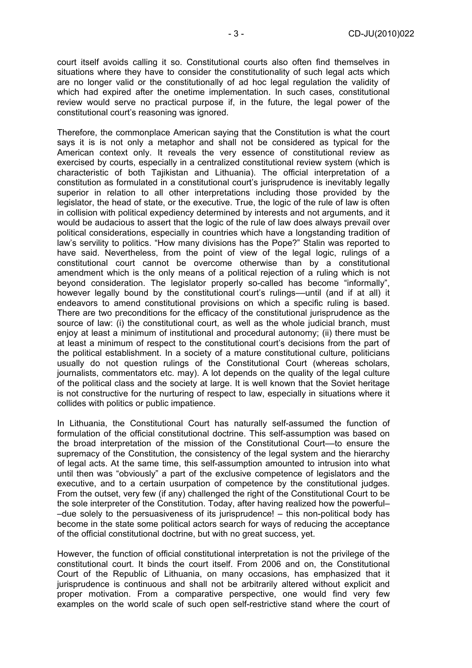court itself avoids calling it so. Constitutional courts also often find themselves in situations where they have to consider the constitutionality of such legal acts which are no longer valid or the constitutionally of ad hoc legal regulation the validity of which had expired after the onetime implementation. In such cases, constitutional review would serve no practical purpose if, in the future, the legal power of the constitutional court's reasoning was ignored.

Therefore, the commonplace American saying that the Constitution is what the court says it is is not only a metaphor and shall not be considered as typical for the American context only. It reveals the very essence of constitutional review as exercised by courts, especially in a centralized constitutional review system (which is characteristic of both Tajikistan and Lithuania). The official interpretation of a constitution as formulated in a constitutional court's jurisprudence is inevitably legally superior in relation to all other interpretations including those provided by the legislator, the head of state, or the executive. True, the logic of the rule of law is often in collision with political expediency determined by interests and not arguments, and it would be audacious to assert that the logic of the rule of law does always prevail over political considerations, especially in countries which have a longstanding tradition of law's servility to politics. "How many divisions has the Pope?" Stalin was reported to have said. Nevertheless, from the point of view of the legal logic, rulings of a constitutional court cannot be overcome otherwise than by a constitutional amendment which is the only means of a political rejection of a ruling which is not beyond consideration. The legislator properly so-called has become "informally", however legally bound by the constitutional court's rulings––until (and if at all) it endeavors to amend constitutional provisions on which a specific ruling is based. There are two preconditions for the efficacy of the constitutional jurisprudence as the source of law: (i) the constitutional court, as well as the whole judicial branch, must enjoy at least a minimum of institutional and procedural autonomy; (ii) there must be at least a minimum of respect to the constitutional court's decisions from the part of the political establishment. In a society of a mature constitutional culture, politicians usually do not question rulings of the Constitutional Court (whereas scholars, journalists, commentators etc. may). A lot depends on the quality of the legal culture of the political class and the society at large. It is well known that the Soviet heritage is not constructive for the nurturing of respect to law, especially in situations where it collides with politics or public impatience.

In Lithuania, the Constitutional Court has naturally self-assumed the function of formulation of the official constitutional doctrine. This self-assumption was based on the broad interpretation of the mission of the Constitutional Court––to ensure the supremacy of the Constitution, the consistency of the legal system and the hierarchy of legal acts. At the same time, this self-assumption amounted to intrusion into what until then was "obviously" a part of the exclusive competence of legislators and the executive, and to a certain usurpation of competence by the constitutional judges. From the outset, very few (if any) challenged the right of the Constitutional Court to be the sole interpreter of the Constitution. Today, after having realized how the powerful– –due solely to the persuasiveness of its jurisprudence! – this non-political body has become in the state some political actors search for ways of reducing the acceptance of the official constitutional doctrine, but with no great success, yet.

However, the function of official constitutional interpretation is not the privilege of the constitutional court. It binds the court itself. From 2006 and on, the Constitutional Court of the Republic of Lithuania, on many occasions, has emphasized that it jurisprudence is continuous and shall not be arbitrarily altered without explicit and proper motivation. From a comparative perspective, one would find very few examples on the world scale of such open self-restrictive stand where the court of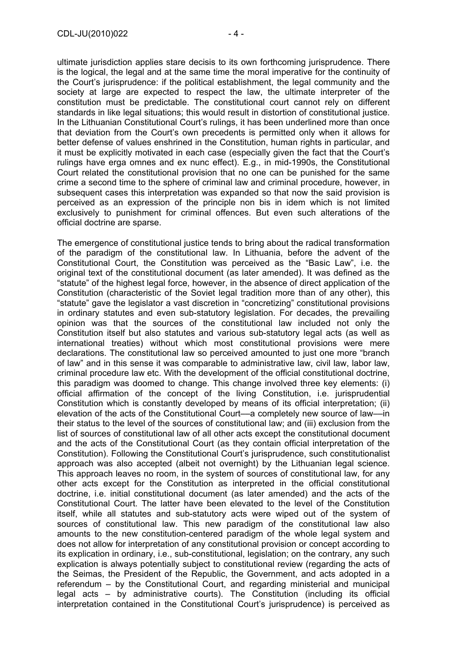ultimate jurisdiction applies stare decisis to its own forthcoming jurisprudence. There is the logical, the legal and at the same time the moral imperative for the continuity of the Court's jurisprudence: if the political establishment, the legal community and the society at large are expected to respect the law, the ultimate interpreter of the constitution must be predictable. The constitutional court cannot rely on different standards in like legal situations; this would result in distortion of constitutional justice. In the Lithuanian Constitutional Court's rulings, it has been underlined more than once that deviation from the Court's own precedents is permitted only when it allows for better defense of values enshrined in the Constitution, human rights in particular, and it must be explicitly motivated in each case (especially given the fact that the Court's rulings have erga omnes and ex nunc effect). E.g., in mid-1990s, the Constitutional Court related the constitutional provision that no one can be punished for the same crime a second time to the sphere of criminal law and criminal procedure, however, in subsequent cases this interpretation was expanded so that now the said provision is perceived as an expression of the principle non bis in idem which is not limited exclusively to punishment for criminal offences. But even such alterations of the official doctrine are sparse.

The emergence of constitutional justice tends to bring about the radical transformation of the paradigm of the constitutional law. In Lithuania, before the advent of the Constitutional Court, the Constitution was perceived as the "Basic Law", i.e. the original text of the constitutional document (as later amended). It was defined as the "statute" of the highest legal force, however, in the absence of direct application of the Constitution (characteristic of the Soviet legal tradition more than of any other), this "statute" gave the legislator a vast discretion in "concretizing" constitutional provisions in ordinary statutes and even sub-statutory legislation. For decades, the prevailing opinion was that the sources of the constitutional law included not only the Constitution itself but also statutes and various sub-statutory legal acts (as well as international treaties) without which most constitutional provisions were mere declarations. The constitutional law so perceived amounted to just one more "branch of law" and in this sense it was comparable to administrative law, civil law, labor law, criminal procedure law etc. With the development of the official constitutional doctrine, this paradigm was doomed to change. This change involved three key elements: (i) official affirmation of the concept of the living Constitution, i.e. jurisprudential Constitution which is constantly developed by means of its official interpretation; (ii) elevation of the acts of the Constitutional Court––a completely new source of law––in their status to the level of the sources of constitutional law; and (iii) exclusion from the list of sources of constitutional law of all other acts except the constitutional document and the acts of the Constitutional Court (as they contain official interpretation of the Constitution). Following the Constitutional Court's jurisprudence, such constitutionalist approach was also accepted (albeit not overnight) by the Lithuanian legal science. This approach leaves no room, in the system of sources of constitutional law, for any other acts except for the Constitution as interpreted in the official constitutional doctrine, i.e. initial constitutional document (as later amended) and the acts of the Constitutional Court. The latter have been elevated to the level of the Constitution itself, while all statutes and sub-statutory acts were wiped out of the system of sources of constitutional law. This new paradigm of the constitutional law also amounts to the new constitution-centered paradigm of the whole legal system and does not allow for interpretation of any constitutional provision or concept according to its explication in ordinary, i.e., sub-constitutional, legislation; on the contrary, any such explication is always potentially subject to constitutional review (regarding the acts of the Seimas, the President of the Republic, the Government, and acts adopted in a referendum – by the Constitutional Court, and regarding ministerial and municipal legal acts – by administrative courts). The Constitution (including its official interpretation contained in the Constitutional Court's jurisprudence) is perceived as